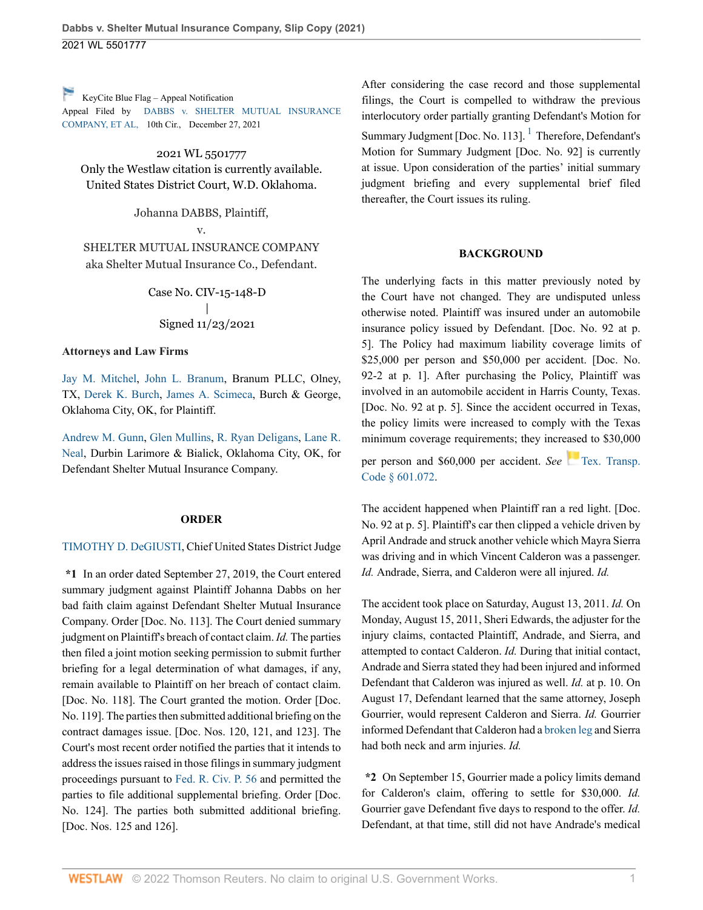[K](https://1.next.westlaw.com/Link/RelatedInformation/Flag?transitionType=Document&originationContext=docHeaderFlag&Rank=0&ppcid=4ee9c9795aff47ed9820fe479c329dd7&contextData=(sc.UserEnteredCitation) )eyCite Blue Flag – Appeal Notification

Appeal Filed by DABBS v. SHELTER MUTUAL INSURANCE COMPANY, ET AL, 10th Cir., December 27, 2021

2021 WL 5501777

Only the Westlaw citation is currently available. United States District Court, W.D. Oklahoma.

Johanna DABBS, Plaintiff,

v. SHELTER MUTUAL INSURANCE COMPANY aka Shelter Mutual Insurance Co., Defendant.

> Case No. CIV-15-148-D | Signed 11/23/2021

### **Attorneys and Law Firms**

[Jay M. Mitchel](http://www.westlaw.com/Link/Document/FullText?findType=h&pubNum=176284&cite=0424675701&originatingDoc=Id172f6c04d6911ecb124ab1bb8098962&refType=RQ&originationContext=document&vr=3.0&rs=cblt1.0&transitionType=DocumentItem&contextData=(sc.UserEnteredCitation)), [John L. Branum](http://www.westlaw.com/Link/Document/FullText?findType=h&pubNum=176284&cite=0371168801&originatingDoc=Id172f6c04d6911ecb124ab1bb8098962&refType=RQ&originationContext=document&vr=3.0&rs=cblt1.0&transitionType=DocumentItem&contextData=(sc.UserEnteredCitation)), Branum PLLC, Olney, TX, [Derek K. Burch,](http://www.westlaw.com/Link/Document/FullText?findType=h&pubNum=176284&cite=0186022201&originatingDoc=Id172f6c04d6911ecb124ab1bb8098962&refType=RQ&originationContext=document&vr=3.0&rs=cblt1.0&transitionType=DocumentItem&contextData=(sc.UserEnteredCitation)) [James A. Scimeca,](http://www.westlaw.com/Link/Document/FullText?findType=h&pubNum=176284&cite=0190412901&originatingDoc=Id172f6c04d6911ecb124ab1bb8098962&refType=RQ&originationContext=document&vr=3.0&rs=cblt1.0&transitionType=DocumentItem&contextData=(sc.UserEnteredCitation)) Burch & George, Oklahoma City, OK, for Plaintiff.

[Andrew M. Gunn](http://www.westlaw.com/Link/Document/FullText?findType=h&pubNum=176284&cite=0307646601&originatingDoc=Id172f6c04d6911ecb124ab1bb8098962&refType=RQ&originationContext=document&vr=3.0&rs=cblt1.0&transitionType=DocumentItem&contextData=(sc.UserEnteredCitation)), [Glen Mullins,](http://www.westlaw.com/Link/Document/FullText?findType=h&pubNum=176284&cite=0288998401&originatingDoc=Id172f6c04d6911ecb124ab1bb8098962&refType=RQ&originationContext=document&vr=3.0&rs=cblt1.0&transitionType=DocumentItem&contextData=(sc.UserEnteredCitation)) [R. Ryan Deligans,](http://www.westlaw.com/Link/Document/FullText?findType=h&pubNum=176284&cite=0332960501&originatingDoc=Id172f6c04d6911ecb124ab1bb8098962&refType=RQ&originationContext=document&vr=3.0&rs=cblt1.0&transitionType=DocumentItem&contextData=(sc.UserEnteredCitation)) [Lane R.](http://www.westlaw.com/Link/Document/FullText?findType=h&pubNum=176284&cite=0445538601&originatingDoc=Id172f6c04d6911ecb124ab1bb8098962&refType=RQ&originationContext=document&vr=3.0&rs=cblt1.0&transitionType=DocumentItem&contextData=(sc.UserEnteredCitation)) [Neal,](http://www.westlaw.com/Link/Document/FullText?findType=h&pubNum=176284&cite=0445538601&originatingDoc=Id172f6c04d6911ecb124ab1bb8098962&refType=RQ&originationContext=document&vr=3.0&rs=cblt1.0&transitionType=DocumentItem&contextData=(sc.UserEnteredCitation)) Durbin Larimore & Bialick, Oklahoma City, OK, for Defendant Shelter Mutual Insurance Company.

### **ORDER**

### [TIMOTHY D. DeGIUSTI](http://www.westlaw.com/Link/Document/FullText?findType=h&pubNum=176284&cite=0170665901&originatingDoc=Id172f6c04d6911ecb124ab1bb8098962&refType=RQ&originationContext=document&vr=3.0&rs=cblt1.0&transitionType=DocumentItem&contextData=(sc.UserEnteredCitation)), Chief United States District Judge

**\*1** In an order dated September 27, 2019, the Court entered summary judgment against Plaintiff Johanna Dabbs on her bad faith claim against Defendant Shelter Mutual Insurance Company. Order [Doc. No. 113]. The Court denied summary judgment on Plaintiff's breach of contact claim. *Id.* The parties then filed a joint motion seeking permission to submit further briefing for a legal determination of what damages, if any, remain available to Plaintiff on her breach of contact claim. [Doc. No. 118]. The Court granted the motion. Order [Doc. No. 119]. The parties then submitted additional briefing on the contract damages issue. [Doc. Nos. 120, 121, and 123]. The Court's most recent order notified the parties that it intends to address the issues raised in those filings in summary judgment proceedings pursuant to [Fed. R. Civ. P. 56](http://www.westlaw.com/Link/Document/FullText?findType=L&pubNum=1000600&cite=USFRCPR56&originatingDoc=Id172f6c04d6911ecb124ab1bb8098962&refType=LQ&originationContext=document&vr=3.0&rs=cblt1.0&transitionType=DocumentItem&contextData=(sc.UserEnteredCitation)) and permitted the parties to file additional supplemental briefing. Order [Doc. No. 124]. The parties both submitted additional briefing. [Doc. Nos. 125 and 126].

After considering the case record and those supplemental filings, the Court is compelled to withdraw the previous interlocutory order partially granting Defendant's Motion for Summary Judgment [Doc. No. [1](#page-3-0)13]. <sup>1</sup> Therefore, Defendant's Motion for Summary Judgment [Doc. No. 92] is currently at issue. Upon consideration of the parties' initial summary judgment briefing and every supplemental brief filed thereafter, the Court issues its ruling.

### <span id="page-0-0"></span>**BACKGROUND**

The underlying facts in this matter previously noted by the Court have not changed. They are undisputed unless otherwise noted. Plaintiff was insured under an automobile insurance policy issued by Defendant. [Doc. No. 92 at p. 5]. The Policy had maximum liability coverage limits of \$25,000 per person and \$50,000 per accident. [Doc. No. 92-2 at p. 1]. After purchasing the Policy, Plaintiff was involved in an automobile accident in Harris County, Texas. [Doc. No. 92 at p. 5]. Since the accident occurred in Texas, the policy limits were increased to comply with the Texas minimum coverage requirements; they incre[ase](https://1.next.westlaw.com/Link/RelatedInformation/Flag?documentGuid=N568C39203AC911DCA84CEC76C06C2A17&transitionType=InlineKeyCiteFlags&originationContext=docHeaderFlag&Rank=0&ppcid=4ee9c9795aff47ed9820fe479c329dd7&contextData=(sc.UserEnteredCitation) )d to \$30,000

per person and \$60,000 per accident. *See* [Tex. Transp.](http://www.westlaw.com/Link/Document/FullText?findType=L&pubNum=1013482&cite=TXTRPS601.072&originatingDoc=Id172f6c04d6911ecb124ab1bb8098962&refType=LQ&originationContext=document&vr=3.0&rs=cblt1.0&transitionType=DocumentItem&contextData=(sc.UserEnteredCitation)) [Code § 601.072.](http://www.westlaw.com/Link/Document/FullText?findType=L&pubNum=1013482&cite=TXTRPS601.072&originatingDoc=Id172f6c04d6911ecb124ab1bb8098962&refType=LQ&originationContext=document&vr=3.0&rs=cblt1.0&transitionType=DocumentItem&contextData=(sc.UserEnteredCitation))

The accident happened when Plaintiff ran a red light. [Doc. No. 92 at p. 5]. Plaintiff's car then clipped a vehicle driven by April Andrade and struck another vehicle which Mayra Sierra was driving and in which Vincent Calderon was a passenger. *Id.* Andrade, Sierra, and Calderon were all injured. *Id.*

The accident took place on Saturday, August 13, 2011. *Id.* On Monday, August 15, 2011, Sheri Edwards, the adjuster for the injury claims, contacted Plaintiff, Andrade, and Sierra, and attempted to contact Calderon. *Id.* During that initial contact, Andrade and Sierra stated they had been injured and informed Defendant that Calderon was injured as well. *Id.* at p. 10. On August 17, Defendant learned that the same attorney, Joseph Gourrier, would represent Calderon and Sierra. *Id.* Gourrier informed Defendant that Calderon had a [broken leg](http://www.westlaw.com/Link/Document/FullText?entityType=injury&entityId=Ic981e650475411db9765f9243f53508a&originationContext=document&transitionType=DocumentItem&contextData=(sc.Default)&vr=3.0&rs=cblt1.0) and Sierra had both neck and arm injuries. *Id.*

**\*2** On September 15, Gourrier made a policy limits demand for Calderon's claim, offering to settle for \$30,000. *Id.* Gourrier gave Defendant five days to respond to the offer. *Id.* Defendant, at that time, still did not have Andrade's medical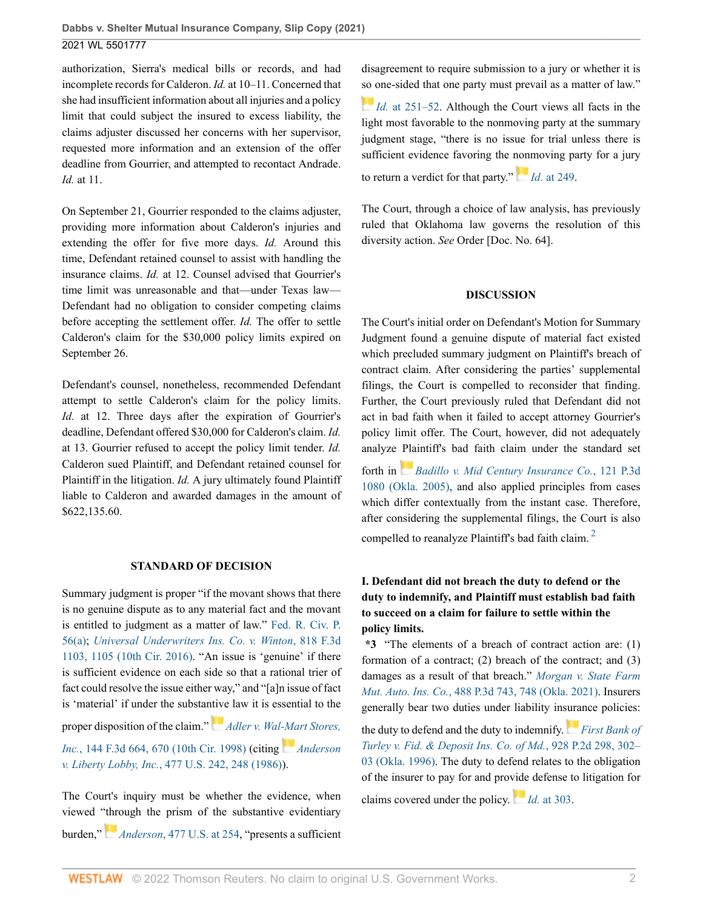authorization, Sierra's medical bills or records, and had incomplete records for Calderon. *Id.* at 10–11. Concerned that she had insufficient information about all injuries and a policy limit that could subject the insured to excess liability, the claims adjuster discussed her concerns with her supervisor, requested more information and an extension of the offer deadline from Gourrier, and attempted to recontact Andrade. *Id.* at 11.

On September 21, Gourrier responded to the claims adjuster, providing more information about Calderon's injuries and extending the offer for five more days. *Id.* Around this time, Defendant retained counsel to assist with handling the insurance claims. *Id.* at 12. Counsel advised that Gourrier's time limit was unreasonable and that—under Texas law— Defendant had no obligation to consider competing claims before accepting the settlement offer. *Id.* The offer to settle Calderon's claim for the \$30,000 policy limits expired on September 26.

Defendant's counsel, nonetheless, recommended Defendant attempt to settle Calderon's claim for the policy limits. *Id.* at 12. Three days after the expiration of Gourrier's deadline, Defendant offered \$30,000 for Calderon's claim. *Id.* at 13. Gourrier refused to accept the policy limit tender. *Id.* Calderon sued Plaintiff, and Defendant retained counsel for Plaintiff in the litigation. *Id.* A jury ultimately found Plaintiff liable to Calderon and awarded damages in the amount of \$622,135.60.

### **STANDARD OF DECISION**

Summary judgment is proper "if the movant shows that there is no genuine dispute as to any material fact and the movant is entitled to judgment as a matter of law." [Fed. R. Civ. P.](http://www.westlaw.com/Link/Document/FullText?findType=L&pubNum=1000600&cite=USFRCPR56&originatingDoc=Id172f6c04d6911ecb124ab1bb8098962&refType=LQ&originationContext=document&vr=3.0&rs=cblt1.0&transitionType=DocumentItem&contextData=(sc.UserEnteredCitation)) [56\(a\)](http://www.westlaw.com/Link/Document/FullText?findType=L&pubNum=1000600&cite=USFRCPR56&originatingDoc=Id172f6c04d6911ecb124ab1bb8098962&refType=LQ&originationContext=document&vr=3.0&rs=cblt1.0&transitionType=DocumentItem&contextData=(sc.UserEnteredCitation)); *[Universal Underwriters Ins. Co. v. Winton](http://www.westlaw.com/Link/Document/FullText?findType=Y&serNum=2038638718&pubNum=0000506&originatingDoc=Id172f6c04d6911ecb124ab1bb8098962&refType=RP&fi=co_pp_sp_506_1105&originationContext=document&vr=3.0&rs=cblt1.0&transitionType=DocumentItem&contextData=(sc.UserEnteredCitation)#co_pp_sp_506_1105)*, 818 F.3d [1103, 1105 \(10th Cir. 2016\).](http://www.westlaw.com/Link/Document/FullText?findType=Y&serNum=2038638718&pubNum=0000506&originatingDoc=Id172f6c04d6911ecb124ab1bb8098962&refType=RP&fi=co_pp_sp_506_1105&originationContext=document&vr=3.0&rs=cblt1.0&transitionType=DocumentItem&contextData=(sc.UserEnteredCitation)#co_pp_sp_506_1105) "An issue is 'genuine' if there is sufficient evidence on each side so that a rational trier of fact could resolve the issue either way," and "[a]n issue of fact is 'material' if under the substa[ntive](https://1.next.westlaw.com/Link/RelatedInformation/Flag?documentGuid=I0595cd82944811d9bc61beebb95be672&transitionType=InlineKeyCiteFlags&originationContext=docHeaderFlag&Rank=0&ppcid=4ee9c9795aff47ed9820fe479c329dd7&contextData=(sc.UserEnteredCitation) ) law it is essential to the proper disposition of the claim." *[Adler v. Wal-Mart Stores,](http://www.westlaw.com/Link/Document/FullText?findType=Y&serNum=1998109558&pubNum=0000506&originatingDoc=Id172f6c04d6911ecb124ab1bb8098962&refType=RP&fi=co_pp_sp_506_670&originationContext=document&vr=3.0&rs=cblt1.0&transitionType=DocumentItem&contextData=(sc.UserEnteredCitation)#co_pp_sp_506_670) Inc.*[, 144 F.3d 664, 670 \(10th Cir. 1998\)](http://www.westlaw.com/Link/Document/FullText?findType=Y&serNum=1998109558&pubNum=0000506&originatingDoc=Id172f6c04d6911ecb124ab1bb8098962&refType=RP&fi=co_pp_sp_506_670&originationContext=document&vr=3.0&rs=cblt1.0&transitionType=DocumentItem&contextData=(sc.UserEnteredCitation)#co_pp_sp_506_670) (citing *[Anderson](http://www.westlaw.com/Link/Document/FullText?findType=Y&serNum=1986132674&pubNum=0000780&originatingDoc=Id172f6c04d6911ecb124ab1bb8098962&refType=RP&fi=co_pp_sp_780_248&originationContext=document&vr=3.0&rs=cblt1.0&transitionType=DocumentItem&contextData=(sc.UserEnteredCitation)#co_pp_sp_780_248)*

*v. Liberty Lobby, Inc.*[, 477 U.S. 242, 248 \(1986\)\)](http://www.westlaw.com/Link/Document/FullText?findType=Y&serNum=1986132674&pubNum=0000780&originatingDoc=Id172f6c04d6911ecb124ab1bb8098962&refType=RP&fi=co_pp_sp_780_248&originationContext=document&vr=3.0&rs=cblt1.0&transitionType=DocumentItem&contextData=(sc.UserEnteredCitation)#co_pp_sp_780_248).

The Court's inquiry must be whether the evidence, when viewed ["thro](https://1.next.westlaw.com/Link/RelatedInformation/Flag?documentGuid=I3a8518e29c9d11d991d0cc6b54f12d4d&transitionType=InlineKeyCiteFlags&originationContext=docHeaderFlag&Rank=0&ppcid=4ee9c9795aff47ed9820fe479c329dd7&contextData=(sc.UserEnteredCitation) )ugh the prism of the substantive evidentiary burden," *Anderson*[, 477 U.S. at 254,](http://www.westlaw.com/Link/Document/FullText?findType=Y&serNum=1986132674&pubNum=0000780&originatingDoc=Id172f6c04d6911ecb124ab1bb8098962&refType=RP&fi=co_pp_sp_780_254&originationContext=document&vr=3.0&rs=cblt1.0&transitionType=DocumentItem&contextData=(sc.UserEnteredCitation)#co_pp_sp_780_254) "presents a sufficient disagreement to require submission to a jury or whether it is [so o](https://1.next.westlaw.com/Link/RelatedInformation/Flag?documentGuid=I3a8518e29c9d11d991d0cc6b54f12d4d&transitionType=InlineKeyCiteFlags&originationContext=docHeaderFlag&Rank=0&ppcid=4ee9c9795aff47ed9820fe479c329dd7&contextData=(sc.UserEnteredCitation) )ne-sided that one party must prevail as a matter of law."

*Id.* [at 251–52.](http://www.westlaw.com/Link/Document/FullText?findType=Y&serNum=1986132674&pubNum=0000780&originatingDoc=Id172f6c04d6911ecb124ab1bb8098962&refType=RP&fi=co_pp_sp_780_251&originationContext=document&vr=3.0&rs=cblt1.0&transitionType=DocumentItem&contextData=(sc.UserEnteredCitation)#co_pp_sp_780_251) Although the Court views all facts in the light most favorable to the nonmoving party at the summary judgment stage, "there is no issue for trial unless there is sufficient evidence favoring the [nonm](https://1.next.westlaw.com/Link/RelatedInformation/Flag?documentGuid=I3a8518e29c9d11d991d0cc6b54f12d4d&transitionType=InlineKeyCiteFlags&originationContext=docHeaderFlag&Rank=0&ppcid=4ee9c9795aff47ed9820fe479c329dd7&contextData=(sc.UserEnteredCitation) )oving party for a jury

to return a verdict for that party." *Id.* [at 249.](http://www.westlaw.com/Link/Document/FullText?findType=Y&serNum=1986132674&pubNum=0000780&originatingDoc=Id172f6c04d6911ecb124ab1bb8098962&refType=RP&fi=co_pp_sp_780_249&originationContext=document&vr=3.0&rs=cblt1.0&transitionType=DocumentItem&contextData=(sc.UserEnteredCitation)#co_pp_sp_780_249)

The Court, through a choice of law analysis, has previously ruled that Oklahoma law governs the resolution of this diversity action. *See* Order [Doc. No. 64].

### **DISCUSSION**

The Court's initial order on Defendant's Motion for Summary Judgment found a genuine dispute of material fact existed which precluded summary judgment on Plaintiff's breach of contract claim. After considering the parties' supplemental filings, the Court is compelled to reconsider that finding. Further, the Court previously ruled that Defendant did not act in bad faith when it failed to accept attorney Gourrier's policy limit offer. The Court, however, did not adequately analyze [Pla](https://1.next.westlaw.com/Link/RelatedInformation/Flag?documentGuid=Ia10a8041004e11dab386b232635db992&transitionType=InlineKeyCiteFlags&originationContext=docHeaderFlag&Rank=0&ppcid=4ee9c9795aff47ed9820fe479c329dd7&contextData=(sc.UserEnteredCitation) )intiff's bad faith claim under the standard set forth in *[Badillo v. Mid Century Insurance Co.](http://www.westlaw.com/Link/Document/FullText?findType=Y&serNum=2006842187&pubNum=0004645&originatingDoc=Id172f6c04d6911ecb124ab1bb8098962&refType=RP&originationContext=document&vr=3.0&rs=cblt1.0&transitionType=DocumentItem&contextData=(sc.UserEnteredCitation))*, 121 P.3d [1080 \(Okla. 2005\),](http://www.westlaw.com/Link/Document/FullText?findType=Y&serNum=2006842187&pubNum=0004645&originatingDoc=Id172f6c04d6911ecb124ab1bb8098962&refType=RP&originationContext=document&vr=3.0&rs=cblt1.0&transitionType=DocumentItem&contextData=(sc.UserEnteredCitation)) and also applied principles from cases which differ contextually from the instant case. Therefore, after considering the supplemental filings, the Court is also compelled to reanalyze Plaintiff's bad faith claim. [2](#page-3-1)

# <span id="page-1-0"></span>**I. Defendant did not breach the duty to defend or the duty to indemnify, and Plaintiff must establish bad faith to succeed on a claim for failure to settle within the policy limits.**

**\*3** "The elements of a breach of contract action are: (1) formation of a contract; (2) breach of the contract; and (3) damages as a result of that breach." *[Morgan v. State Farm](http://www.westlaw.com/Link/Document/FullText?findType=Y&serNum=2053694731&pubNum=0004645&originatingDoc=Id172f6c04d6911ecb124ab1bb8098962&refType=RP&fi=co_pp_sp_4645_748&originationContext=document&vr=3.0&rs=cblt1.0&transitionType=DocumentItem&contextData=(sc.UserEnteredCitation)#co_pp_sp_4645_748) Mut. Auto. Ins. Co.*[, 488 P.3d 743, 748 \(Okla. 2021\).](http://www.westlaw.com/Link/Document/FullText?findType=Y&serNum=2053694731&pubNum=0004645&originatingDoc=Id172f6c04d6911ecb124ab1bb8098962&refType=RP&fi=co_pp_sp_4645_748&originationContext=document&vr=3.0&rs=cblt1.0&transitionType=DocumentItem&contextData=(sc.UserEnteredCitation)#co_pp_sp_4645_748) Insurers generally bear two duties under liability in[sura](https://1.next.westlaw.com/Link/RelatedInformation/Flag?documentGuid=Ib06f9092f58411d99439b076ef9ec4de&transitionType=InlineKeyCiteFlags&originationContext=docHeaderFlag&Rank=0&ppcid=4ee9c9795aff47ed9820fe479c329dd7&contextData=(sc.UserEnteredCitation) )nce policies:

the duty to defend and the duty to indemnify. *[First Bank of](http://www.westlaw.com/Link/Document/FullText?findType=Y&serNum=1996215921&pubNum=0000661&originatingDoc=Id172f6c04d6911ecb124ab1bb8098962&refType=RP&fi=co_pp_sp_661_302&originationContext=document&vr=3.0&rs=cblt1.0&transitionType=DocumentItem&contextData=(sc.UserEnteredCitation)#co_pp_sp_661_302) [Turley v. Fid. & Deposit Ins. Co. of Md.](http://www.westlaw.com/Link/Document/FullText?findType=Y&serNum=1996215921&pubNum=0000661&originatingDoc=Id172f6c04d6911ecb124ab1bb8098962&refType=RP&fi=co_pp_sp_661_302&originationContext=document&vr=3.0&rs=cblt1.0&transitionType=DocumentItem&contextData=(sc.UserEnteredCitation)#co_pp_sp_661_302)*, 928 P.2d 298, 302– [03 \(Okla. 1996\)](http://www.westlaw.com/Link/Document/FullText?findType=Y&serNum=1996215921&pubNum=0000661&originatingDoc=Id172f6c04d6911ecb124ab1bb8098962&refType=RP&fi=co_pp_sp_661_302&originationContext=document&vr=3.0&rs=cblt1.0&transitionType=DocumentItem&contextData=(sc.UserEnteredCitation)#co_pp_sp_661_302). The duty to defend relates to the obligation of the insurer to pay for and pro[vide](https://1.next.westlaw.com/Link/RelatedInformation/Flag?documentGuid=Ib06f9092f58411d99439b076ef9ec4de&transitionType=InlineKeyCiteFlags&originationContext=docHeaderFlag&Rank=0&ppcid=4ee9c9795aff47ed9820fe479c329dd7&contextData=(sc.UserEnteredCitation) ) defense to litigation for

claims covered under the policy. *Id.* [at 303.](http://www.westlaw.com/Link/Document/FullText?findType=Y&serNum=1996215921&pubNum=0000661&originatingDoc=Id172f6c04d6911ecb124ab1bb8098962&refType=RP&fi=co_pp_sp_661_303&originationContext=document&vr=3.0&rs=cblt1.0&transitionType=DocumentItem&contextData=(sc.UserEnteredCitation)#co_pp_sp_661_303)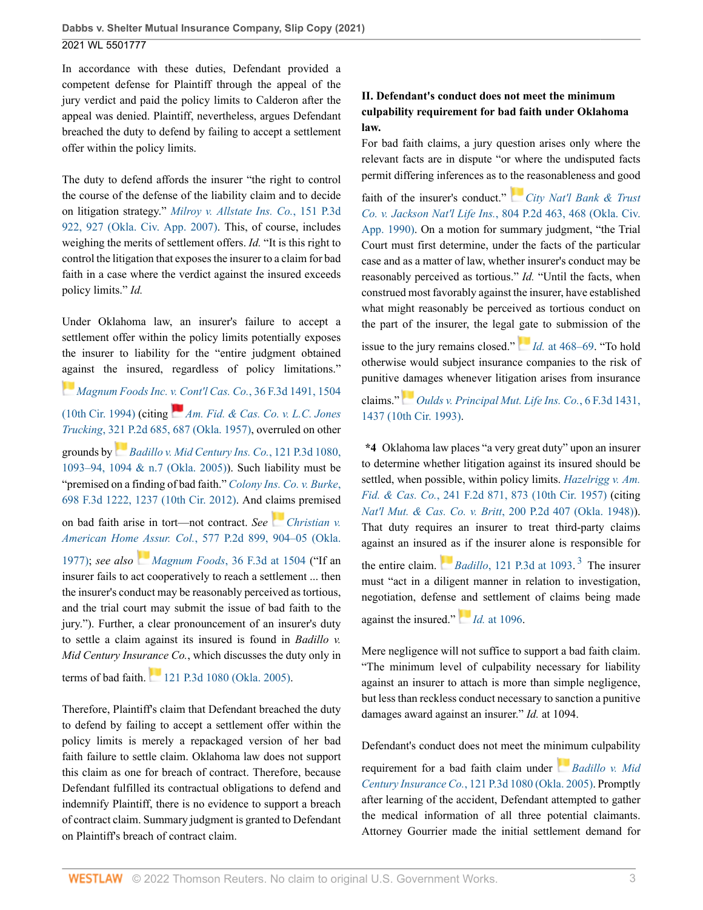In accordance with these duties, Defendant provided a competent defense for Plaintiff through the appeal of the jury verdict and paid the policy limits to Calderon after the appeal was denied. Plaintiff, nevertheless, argues Defendant breached the duty to defend by failing to accept a settlement offer within the policy limits.

The duty to defend affords the insurer "the right to control the course of the defense of the liability claim and to decide on litigation strategy." *[Milroy v. Allstate Ins. Co.](http://www.westlaw.com/Link/Document/FullText?findType=Y&serNum=2011178582&pubNum=0004645&originatingDoc=Id172f6c04d6911ecb124ab1bb8098962&refType=RP&fi=co_pp_sp_4645_927&originationContext=document&vr=3.0&rs=cblt1.0&transitionType=DocumentItem&contextData=(sc.UserEnteredCitation)#co_pp_sp_4645_927)*, 151 P.3d [922, 927 \(Okla. Civ. App. 2007\)](http://www.westlaw.com/Link/Document/FullText?findType=Y&serNum=2011178582&pubNum=0004645&originatingDoc=Id172f6c04d6911ecb124ab1bb8098962&refType=RP&fi=co_pp_sp_4645_927&originationContext=document&vr=3.0&rs=cblt1.0&transitionType=DocumentItem&contextData=(sc.UserEnteredCitation)#co_pp_sp_4645_927). This, of course, includes weighing the merits of settlement offers. *Id.* "It is this right to control the litigation that exposes the insurer to a claim for bad faith in a case where the verdict against the insured exceeds policy limits." *Id.*

Under Oklahoma law, an insurer's failure to accept a settlement offer within the policy limits potentially exposes the insurer to liability for the "entire judgment obtained [aga](https://1.next.westlaw.com/Link/RelatedInformation/Flag?documentGuid=I1ff26616960611d9a707f4371c9c34f0&transitionType=InlineKeyCiteFlags&originationContext=docHeaderFlag&Rank=0&ppcid=4ee9c9795aff47ed9820fe479c329dd7&contextData=(sc.UserEnteredCitation) )inst the insured, regardless of policy limitations."

*[Magnum Foods Inc. v. Cont'l Cas. Co.](http://www.westlaw.com/Link/Document/FullText?findType=Y&serNum=1994188094&pubNum=0000506&originatingDoc=Id172f6c04d6911ecb124ab1bb8098962&refType=RP&fi=co_pp_sp_506_1504&originationContext=document&vr=3.0&rs=cblt1.0&transitionType=DocumentItem&contextData=(sc.UserEnteredCitation)#co_pp_sp_506_1504)*, 36 F.3d 1491, 1504 [\(10th Cir. 1994\)](http://www.westlaw.com/Link/Document/FullText?findType=Y&serNum=1994188094&pubNum=0000506&originatingDoc=Id172f6c04d6911ecb124ab1bb8098962&refType=RP&fi=co_pp_sp_506_1504&originationContext=document&vr=3.0&rs=cblt1.0&transitionType=DocumentItem&contextData=(sc.UserEnteredCitation)#co_pp_sp_506_1504) (citing *[Am. Fid. & Cas. Co. v. L.C. Jones](http://www.westlaw.com/Link/Document/FullText?findType=Y&serNum=1958118939&pubNum=0000661&originatingDoc=Id172f6c04d6911ecb124ab1bb8098962&refType=RP&fi=co_pp_sp_661_687&originationContext=document&vr=3.0&rs=cblt1.0&transitionType=DocumentItem&contextData=(sc.UserEnteredCitation)#co_pp_sp_661_687) Trucking*[, 321 P.2d 685, 687 \(Okla. 1957\),](http://www.westlaw.com/Link/Document/FullText?findType=Y&serNum=1958118939&pubNum=0000661&originatingDoc=Id172f6c04d6911ecb124ab1bb8098962&refType=RP&fi=co_pp_sp_661_687&originationContext=document&vr=3.0&rs=cblt1.0&transitionType=DocumentItem&contextData=(sc.UserEnteredCitation)#co_pp_sp_661_687) overruled on other grounds by *[Badillo v. Mid Century Ins. Co.](http://www.westlaw.com/Link/Document/FullText?findType=Y&serNum=2006842187&pubNum=0004645&originatingDoc=Id172f6c04d6911ecb124ab1bb8098962&refType=RP&fi=co_pp_sp_4645_1093&originationContext=document&vr=3.0&rs=cblt1.0&transitionType=DocumentItem&contextData=(sc.UserEnteredCitation)#co_pp_sp_4645_1093)*, 121 P.3d 1080, [1093–94, 1094 & n.7 \(Okla. 2005\)\)](http://www.westlaw.com/Link/Document/FullText?findType=Y&serNum=2006842187&pubNum=0004645&originatingDoc=Id172f6c04d6911ecb124ab1bb8098962&refType=RP&fi=co_pp_sp_4645_1093&originationContext=document&vr=3.0&rs=cblt1.0&transitionType=DocumentItem&contextData=(sc.UserEnteredCitation)#co_pp_sp_4645_1093). Such liability must be "premised on a finding of bad faith." *[Colony Ins. Co. v. Burke](http://www.westlaw.com/Link/Document/FullText?findType=Y&serNum=2028892567&pubNum=0000506&originatingDoc=Id172f6c04d6911ecb124ab1bb8098962&refType=RP&fi=co_pp_sp_506_1237&originationContext=document&vr=3.0&rs=cblt1.0&transitionType=DocumentItem&contextData=(sc.UserEnteredCitation)#co_pp_sp_506_1237)*, [698 F.3d 1222, 1237 \(10th Cir. 2012\).](http://www.westlaw.com/Link/Document/FullText?findType=Y&serNum=2028892567&pubNum=0000506&originatingDoc=Id172f6c04d6911ecb124ab1bb8098962&refType=RP&fi=co_pp_sp_506_1237&originationContext=document&vr=3.0&rs=cblt1.0&transitionType=DocumentItem&contextData=(sc.UserEnteredCitation)#co_pp_sp_506_1237) And c[laim](https://1.next.westlaw.com/Link/RelatedInformation/Flag?documentGuid=Ie4fb16fff7cc11d99439b076ef9ec4de&transitionType=InlineKeyCiteFlags&originationContext=docHeaderFlag&Rank=0&ppcid=4ee9c9795aff47ed9820fe479c329dd7&contextData=(sc.UserEnteredCitation) )s premised on bad faith arise in tort—not contract. *See [Christian v.](http://www.westlaw.com/Link/Document/FullText?findType=Y&serNum=1977134525&pubNum=0000661&originatingDoc=Id172f6c04d6911ecb124ab1bb8098962&refType=RP&fi=co_pp_sp_661_904&originationContext=document&vr=3.0&rs=cblt1.0&transitionType=DocumentItem&contextData=(sc.UserEnteredCitation)#co_pp_sp_661_904) American Hom[e As](https://1.next.westlaw.com/Link/RelatedInformation/Flag?documentGuid=I1ff26616960611d9a707f4371c9c34f0&transitionType=InlineKeyCiteFlags&originationContext=docHeaderFlag&Rank=0&ppcid=4ee9c9795aff47ed9820fe479c329dd7&contextData=(sc.UserEnteredCitation) )sur. Col.*[, 577 P.2d 899, 904–05 \(Okla.](http://www.westlaw.com/Link/Document/FullText?findType=Y&serNum=1977134525&pubNum=0000661&originatingDoc=Id172f6c04d6911ecb124ab1bb8098962&refType=RP&fi=co_pp_sp_661_904&originationContext=document&vr=3.0&rs=cblt1.0&transitionType=DocumentItem&contextData=(sc.UserEnteredCitation)#co_pp_sp_661_904) [1977\)](http://www.westlaw.com/Link/Document/FullText?findType=Y&serNum=1977134525&pubNum=0000661&originatingDoc=Id172f6c04d6911ecb124ab1bb8098962&refType=RP&fi=co_pp_sp_661_904&originationContext=document&vr=3.0&rs=cblt1.0&transitionType=DocumentItem&contextData=(sc.UserEnteredCitation)#co_pp_sp_661_904); *see also Magnum Foods*[, 36 F.3d at 1504](http://www.westlaw.com/Link/Document/FullText?findType=Y&serNum=1994188094&pubNum=0000506&originatingDoc=Id172f6c04d6911ecb124ab1bb8098962&refType=RP&fi=co_pp_sp_506_1504&originationContext=document&vr=3.0&rs=cblt1.0&transitionType=DocumentItem&contextData=(sc.UserEnteredCitation)#co_pp_sp_506_1504) ("If an insurer fails to act cooperatively to reach a settlement ... then the insurer's conduct may be reasonably perceived as tortious, and the trial court may submit the issue of bad faith to the jury."). Further, a clear pronouncement of an insurer's duty to settle a claim against its insured is found in *Badillo v. Mid Century Insurance Co.*, which discusses the duty only in

terms of bad faith. [121 P.3d 1080 \(Okla. 2005\)](http://www.westlaw.com/Link/Document/FullText?findType=Y&serNum=2006842187&pubNum=0004645&originatingDoc=Id172f6c04d6911ecb124ab1bb8098962&refType=RP&originationContext=document&vr=3.0&rs=cblt1.0&transitionType=DocumentItem&contextData=(sc.UserEnteredCitation)).

Therefore, Plaintiff's claim that Defendant breached the duty to defend by failing to accept a settlement offer within the policy limits is merely a repackaged version of her bad faith failure to settle claim. Oklahoma law does not support this claim as one for breach of contract. Therefore, because Defendant fulfilled its contractual obligations to defend and indemnify Plaintiff, there is no evidence to support a breach of contract claim. Summary judgment is granted to Defendant on Plaintiff's breach of contract claim.

# **II. Defendant's conduct does not meet the minimum culpability requirement for bad faith under Oklahoma law.**

For bad faith claims, a jury question arises only where the relevant facts are in dispute "or where the undisputed facts permit differing inferences as to [the](https://1.next.westlaw.com/Link/RelatedInformation/Flag?documentGuid=I1ccba55ef79b11d9b386b232635db992&transitionType=InlineKeyCiteFlags&originationContext=docHeaderFlag&Rank=0&ppcid=4ee9c9795aff47ed9820fe479c329dd7&contextData=(sc.UserEnteredCitation) ) reasonableness and good

faith of the insurer's conduct." *[City Nat'l Bank & Trust](http://www.westlaw.com/Link/Document/FullText?findType=Y&serNum=1991033411&pubNum=0000661&originatingDoc=Id172f6c04d6911ecb124ab1bb8098962&refType=RP&fi=co_pp_sp_661_468&originationContext=document&vr=3.0&rs=cblt1.0&transitionType=DocumentItem&contextData=(sc.UserEnteredCitation)#co_pp_sp_661_468) Co. v. Jackson Nat'l Life Ins.*[, 804 P.2d 463, 468 \(Okla. Civ.](http://www.westlaw.com/Link/Document/FullText?findType=Y&serNum=1991033411&pubNum=0000661&originatingDoc=Id172f6c04d6911ecb124ab1bb8098962&refType=RP&fi=co_pp_sp_661_468&originationContext=document&vr=3.0&rs=cblt1.0&transitionType=DocumentItem&contextData=(sc.UserEnteredCitation)#co_pp_sp_661_468) [App. 1990\)](http://www.westlaw.com/Link/Document/FullText?findType=Y&serNum=1991033411&pubNum=0000661&originatingDoc=Id172f6c04d6911ecb124ab1bb8098962&refType=RP&fi=co_pp_sp_661_468&originationContext=document&vr=3.0&rs=cblt1.0&transitionType=DocumentItem&contextData=(sc.UserEnteredCitation)#co_pp_sp_661_468). On a motion for summary judgment, "the Trial Court must first determine, under the facts of the particular case and as a matter of law, whether insurer's conduct may be reasonably perceived as tortious." *Id.* "Until the facts, when construed most favorably against the insurer, have established what might reasonably be perceived as tortious conduct on the part of the insurer, the legal [gat](https://1.next.westlaw.com/Link/RelatedInformation/Flag?documentGuid=I1ccba55ef79b11d9b386b232635db992&transitionType=InlineKeyCiteFlags&originationContext=docHeaderFlag&Rank=0&ppcid=4ee9c9795aff47ed9820fe479c329dd7&contextData=(sc.UserEnteredCitation) )e to submission of the

issue to the jury remains closed." *Id.* [at 468–69](http://www.westlaw.com/Link/Document/FullText?findType=Y&serNum=1991033411&pubNum=0000661&originatingDoc=Id172f6c04d6911ecb124ab1bb8098962&refType=RP&fi=co_pp_sp_661_468&originationContext=document&vr=3.0&rs=cblt1.0&transitionType=DocumentItem&contextData=(sc.UserEnteredCitation)#co_pp_sp_661_468). "To hold otherwise would subject insurance companies to the risk of punitive [dam](https://1.next.westlaw.com/Link/RelatedInformation/Flag?documentGuid=I2606ea6396fd11d993e6d35cc61aab4a&transitionType=InlineKeyCiteFlags&originationContext=docHeaderFlag&Rank=0&ppcid=4ee9c9795aff47ed9820fe479c329dd7&contextData=(sc.UserEnteredCitation) )ages whenever litigation arises from insurance

claims." *[Oulds v. Principal Mut. Life Ins. Co.](http://www.westlaw.com/Link/Document/FullText?findType=Y&serNum=1993193298&pubNum=0000506&originatingDoc=Id172f6c04d6911ecb124ab1bb8098962&refType=RP&fi=co_pp_sp_506_1437&originationContext=document&vr=3.0&rs=cblt1.0&transitionType=DocumentItem&contextData=(sc.UserEnteredCitation)#co_pp_sp_506_1437)*, 6 F.3d 1431, [1437 \(10th Cir. 1993\).](http://www.westlaw.com/Link/Document/FullText?findType=Y&serNum=1993193298&pubNum=0000506&originatingDoc=Id172f6c04d6911ecb124ab1bb8098962&refType=RP&fi=co_pp_sp_506_1437&originationContext=document&vr=3.0&rs=cblt1.0&transitionType=DocumentItem&contextData=(sc.UserEnteredCitation)#co_pp_sp_506_1437)

**\*4** Oklahoma law places "a very great duty" upon an insurer to determine whether litigation against its insured should be settled, when possible, within policy limits. *[Hazelrigg v. Am.](http://www.westlaw.com/Link/Document/FullText?findType=Y&serNum=1957109550&pubNum=0000350&originatingDoc=Id172f6c04d6911ecb124ab1bb8098962&refType=RP&fi=co_pp_sp_350_873&originationContext=document&vr=3.0&rs=cblt1.0&transitionType=DocumentItem&contextData=(sc.UserEnteredCitation)#co_pp_sp_350_873) Fid. & Cas. Co.*[, 241 F.2d 871, 873 \(10th Cir. 1957\)](http://www.westlaw.com/Link/Document/FullText?findType=Y&serNum=1957109550&pubNum=0000350&originatingDoc=Id172f6c04d6911ecb124ab1bb8098962&refType=RP&fi=co_pp_sp_350_873&originationContext=document&vr=3.0&rs=cblt1.0&transitionType=DocumentItem&contextData=(sc.UserEnteredCitation)#co_pp_sp_350_873) (citing *[Nat'l Mut. & Cas. Co. v. Britt](http://www.westlaw.com/Link/Document/FullText?findType=Y&serNum=1949114921&pubNum=0000661&originatingDoc=Id172f6c04d6911ecb124ab1bb8098962&refType=RP&originationContext=document&vr=3.0&rs=cblt1.0&transitionType=DocumentItem&contextData=(sc.UserEnteredCitation))*, 200 P.2d 407 (Okla. 1948)). That duty requires an insurer to treat third-party claims against an insur[ed a](https://1.next.westlaw.com/Link/RelatedInformation/Flag?documentGuid=Ia10a8041004e11dab386b232635db992&transitionType=InlineKeyCiteFlags&originationContext=docHeaderFlag&Rank=0&ppcid=4ee9c9795aff47ed9820fe479c329dd7&contextData=(sc.UserEnteredCitation) )s if the insurer alone is responsible for the entire claim. *Badillo*[, 121 P.3d at 1093.](http://www.westlaw.com/Link/Document/FullText?findType=Y&serNum=2006842187&pubNum=0004645&originatingDoc=Id172f6c04d6911ecb124ab1bb8098962&refType=RP&fi=co_pp_sp_4645_1093&originationContext=document&vr=3.0&rs=cblt1.0&transitionType=DocumentItem&contextData=(sc.UserEnteredCitation)#co_pp_sp_4645_1093)<sup>[3](#page-3-2)</sup> The insurer must "act in a diligent manner in relation to investigation, negotiation, defense [and](https://1.next.westlaw.com/Link/RelatedInformation/Flag?documentGuid=Ia10a8041004e11dab386b232635db992&transitionType=InlineKeyCiteFlags&originationContext=docHeaderFlag&Rank=0&ppcid=4ee9c9795aff47ed9820fe479c329dd7&contextData=(sc.UserEnteredCitation) ) settlement of claims being made against the insured." *Id.* [at 1096](http://www.westlaw.com/Link/Document/FullText?findType=Y&serNum=2006842187&pubNum=0004645&originatingDoc=Id172f6c04d6911ecb124ab1bb8098962&refType=RP&fi=co_pp_sp_4645_1096&originationContext=document&vr=3.0&rs=cblt1.0&transitionType=DocumentItem&contextData=(sc.UserEnteredCitation)#co_pp_sp_4645_1096).

<span id="page-2-0"></span>Mere negligence will not suffice to support a bad faith claim. "The minimum level of culpability necessary for liability against an insurer to attach is more than simple negligence, but less than reckless conduct necessary to sanction a punitive damages award against an insurer." *Id.* at 1094.

Defendant's conduct does not meet the mi[nim](https://1.next.westlaw.com/Link/RelatedInformation/Flag?documentGuid=Ia10a8041004e11dab386b232635db992&transitionType=InlineKeyCiteFlags&originationContext=docHeaderFlag&Rank=0&ppcid=4ee9c9795aff47ed9820fe479c329dd7&contextData=(sc.UserEnteredCitation) )um culpability requirement for a bad faith claim under *[Badillo v. Mid](http://www.westlaw.com/Link/Document/FullText?findType=Y&serNum=2006842187&pubNum=0004645&originatingDoc=Id172f6c04d6911ecb124ab1bb8098962&refType=RP&originationContext=document&vr=3.0&rs=cblt1.0&transitionType=DocumentItem&contextData=(sc.UserEnteredCitation)) Century Insurance Co.*[, 121 P.3d 1080 \(Okla. 2005\).](http://www.westlaw.com/Link/Document/FullText?findType=Y&serNum=2006842187&pubNum=0004645&originatingDoc=Id172f6c04d6911ecb124ab1bb8098962&refType=RP&originationContext=document&vr=3.0&rs=cblt1.0&transitionType=DocumentItem&contextData=(sc.UserEnteredCitation)) Promptly after learning of the accident, Defendant attempted to gather the medical information of all three potential claimants. Attorney Gourrier made the initial settlement demand for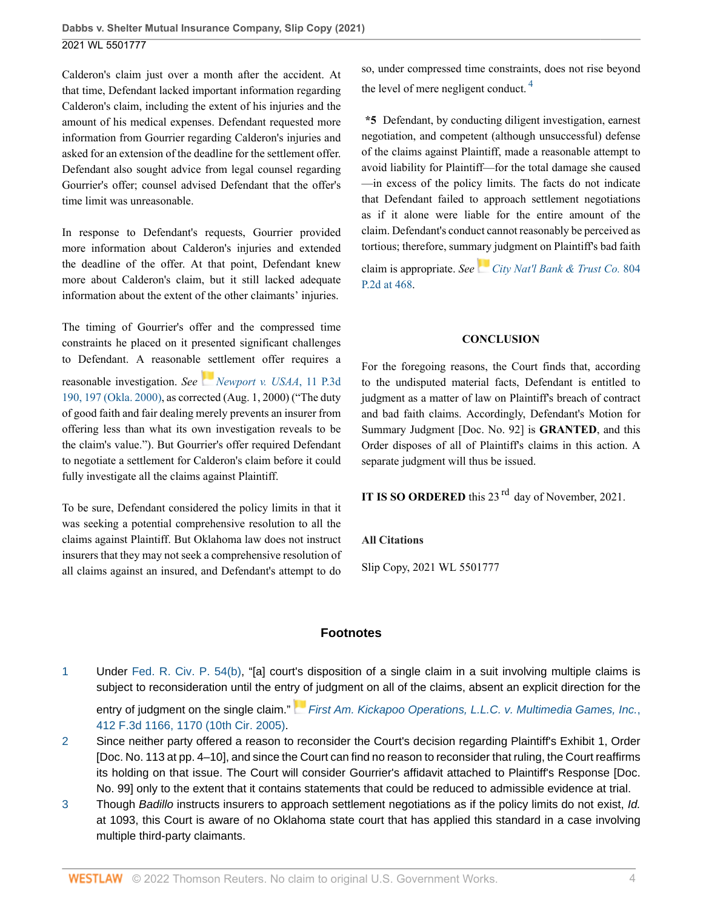Calderon's claim just over a month after the accident. At that time, Defendant lacked important information regarding Calderon's claim, including the extent of his injuries and the amount of his medical expenses. Defendant requested more information from Gourrier regarding Calderon's injuries and asked for an extension of the deadline for the settlement offer. Defendant also sought advice from legal counsel regarding Gourrier's offer; counsel advised Defendant that the offer's time limit was unreasonable.

In response to Defendant's requests, Gourrier provided more information about Calderon's injuries and extended the deadline of the offer. At that point, Defendant knew more about Calderon's claim, but it still lacked adequate information about the extent of the other claimants' injuries.

The timing of Gourrier's offer and the compressed time constraints he placed on it presented significant challenges to Defendant. A reasonable [se](https://1.next.westlaw.com/Link/RelatedInformation/Flag?documentGuid=If9c78c92f55511d98ac8f235252e36df&transitionType=InlineKeyCiteFlags&originationContext=docHeaderFlag&Rank=0&ppcid=4ee9c9795aff47ed9820fe479c329dd7&contextData=(sc.UserEnteredCitation) )ttlement offer requires a reasonable investigation. *See [Newport v. USAA](http://www.westlaw.com/Link/Document/FullText?findType=Y&serNum=2000448160&pubNum=0004645&originatingDoc=Id172f6c04d6911ecb124ab1bb8098962&refType=RP&fi=co_pp_sp_4645_197&originationContext=document&vr=3.0&rs=cblt1.0&transitionType=DocumentItem&contextData=(sc.UserEnteredCitation)#co_pp_sp_4645_197)*, 11 P.3d [190, 197 \(Okla. 2000\),](http://www.westlaw.com/Link/Document/FullText?findType=Y&serNum=2000448160&pubNum=0004645&originatingDoc=Id172f6c04d6911ecb124ab1bb8098962&refType=RP&fi=co_pp_sp_4645_197&originationContext=document&vr=3.0&rs=cblt1.0&transitionType=DocumentItem&contextData=(sc.UserEnteredCitation)#co_pp_sp_4645_197) as corrected (Aug. 1, 2000) ("The duty of good faith and fair dealing merely prevents an insurer from offering less than what its own investigation reveals to be the claim's value."). But Gourrier's offer required Defendant to negotiate a settlement for Calderon's claim before it could fully investigate all the claims against Plaintiff.

To be sure, Defendant considered the policy limits in that it was seeking a potential comprehensive resolution to all the claims against Plaintiff. But Oklahoma law does not instruct insurers that they may not seek a comprehensive resolution of all claims against an insured, and Defendant's attempt to do

<span id="page-3-3"></span>so, under compressed time constraints, does not rise beyond the level of mere negligent conduct.  $4$ 

**\*5** Defendant, by conducting diligent investigation, earnest negotiation, and competent (although unsuccessful) defense of the claims against Plaintiff, made a reasonable attempt to avoid liability for Plaintiff—for the total damage she caused —in excess of the policy limits. The facts do not indicate that Defendant failed to approach settlement negotiations as if it alone were liable for the entire amount of the claim. Defendant's conduct cannot reasonably be perceived as tortious; therefore, summ[ary](https://1.next.westlaw.com/Link/RelatedInformation/Flag?documentGuid=I1ccba55ef79b11d9b386b232635db992&transitionType=InlineKeyCiteFlags&originationContext=docHeaderFlag&Rank=0&ppcid=4ee9c9795aff47ed9820fe479c329dd7&contextData=(sc.UserEnteredCitation) ) judgment on Plaintiff's bad faith

claim is appropriate. *See [City Nat'l Bank & Trust Co.](http://www.westlaw.com/Link/Document/FullText?findType=Y&serNum=1991033411&pubNum=0000661&originatingDoc=Id172f6c04d6911ecb124ab1bb8098962&refType=RP&fi=co_pp_sp_661_468&originationContext=document&vr=3.0&rs=cblt1.0&transitionType=DocumentItem&contextData=(sc.UserEnteredCitation)#co_pp_sp_661_468)* 804 [P.2d at 468](http://www.westlaw.com/Link/Document/FullText?findType=Y&serNum=1991033411&pubNum=0000661&originatingDoc=Id172f6c04d6911ecb124ab1bb8098962&refType=RP&fi=co_pp_sp_661_468&originationContext=document&vr=3.0&rs=cblt1.0&transitionType=DocumentItem&contextData=(sc.UserEnteredCitation)#co_pp_sp_661_468).

### **CONCLUSION**

For the foregoing reasons, the Court finds that, according to the undisputed material facts, Defendant is entitled to judgment as a matter of law on Plaintiff's breach of contract and bad faith claims. Accordingly, Defendant's Motion for Summary Judgment [Doc. No. 92] is **GRANTED**, and this Order disposes of all of Plaintiff's claims in this action. A separate judgment will thus be issued.

**IT IS SO ORDERED** this 23<sup>rd</sup> day of November, 2021.

### **All Citations**

Slip Copy, 2021 WL 5501777

# **Footnotes**

<span id="page-3-0"></span>[1](#page-0-0) Under [Fed. R. Civ. P. 54\(b\)](http://www.westlaw.com/Link/Document/FullText?findType=L&pubNum=1000600&cite=USFRCPR54&originatingDoc=Id172f6c04d6911ecb124ab1bb8098962&refType=LQ&originationContext=document&vr=3.0&rs=cblt1.0&transitionType=DocumentItem&contextData=(sc.UserEnteredCitation)), "[a] court's disposition of a single claim in a suit involving multiple claims is subject to reconsideration until the ent[ry o](https://1.next.westlaw.com/Link/RelatedInformation/Flag?documentGuid=I80396520e2ea11d99439b076ef9ec4de&transitionType=InlineKeyCiteFlags&originationContext=docHeaderFlag&Rank=0&ppcid=4ee9c9795aff47ed9820fe479c329dd7&contextData=(sc.UserEnteredCitation) )f judgment on all of the claims, absent an explicit direction for the

entry of judgment on the single claim." [First Am. Kickapoo Operations, L.L.C. v. Multimedia Games, Inc.](http://www.westlaw.com/Link/Document/FullText?findType=Y&serNum=2006843552&pubNum=0000506&originatingDoc=Id172f6c04d6911ecb124ab1bb8098962&refType=RP&fi=co_pp_sp_506_1170&originationContext=document&vr=3.0&rs=cblt1.0&transitionType=DocumentItem&contextData=(sc.UserEnteredCitation)#co_pp_sp_506_1170), [412 F.3d 1166, 1170 \(10th Cir. 2005\).](http://www.westlaw.com/Link/Document/FullText?findType=Y&serNum=2006843552&pubNum=0000506&originatingDoc=Id172f6c04d6911ecb124ab1bb8098962&refType=RP&fi=co_pp_sp_506_1170&originationContext=document&vr=3.0&rs=cblt1.0&transitionType=DocumentItem&contextData=(sc.UserEnteredCitation)#co_pp_sp_506_1170)

- <span id="page-3-1"></span>[2](#page-1-0) Since neither party offered a reason to reconsider the Court's decision regarding Plaintiff's Exhibit 1, Order [Doc. No. 113 at pp. 4–10], and since the Court can find no reason to reconsider that ruling, the Court reaffirms its holding on that issue. The Court will consider Gourrier's affidavit attached to Plaintiff's Response [Doc. No. 99] only to the extent that it contains statements that could be reduced to admissible evidence at trial.
- <span id="page-3-2"></span>[3](#page-2-0) Though Badillo instructs insurers to approach settlement negotiations as if the policy limits do not exist, Id. at 1093, this Court is aware of no Oklahoma state court that has applied this standard in a case involving multiple third-party claimants.